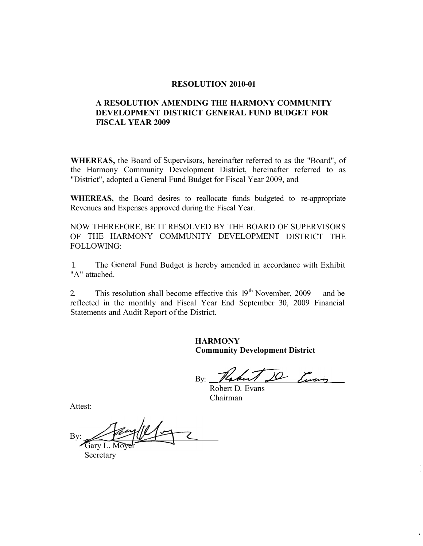#### **RESOLUTION 2010-01**

## **A RESOLUTION AMENDING THE HARMONY COMMUNITY DEVELOPMENT DISTRICT GENERAL FUND BUDGET FOR FISCAL YEAR 2009**

**WHEREAS,** the Board of Supervisors, hereinafter referred to as the "Board", of the Harmony Community Development District, hereinafter referred to as "District", adopted a General Fund Budget for Fiscal Year 2009, and

**WHEREAS,** the Board desires to reallocate funds budgeted to re-appropriate Revenues and Expenses approved during the Fiscal Year.

NOW THEREFORE, BE IT RESOLVED BY THE BOARD OF SUPERVISORS OF THE HARMONY COMMUNITY DEVELOPMENT DISTRICT THE FOLLOWING:

1. The General Fund Budget is hereby amended in accordance with Exhibit "A" attached.

2. This resolution shall become effective this 19**th** November, 2009 and be reflected in the monthly and Fiscal Year End September 30, 2009 Financial Statements and Audit Report of the District.

> **HARMONY Community Development District**

10 Every By:

Robert D. Evans Chairman

Attest:

By: Garv L. Mo

Secretary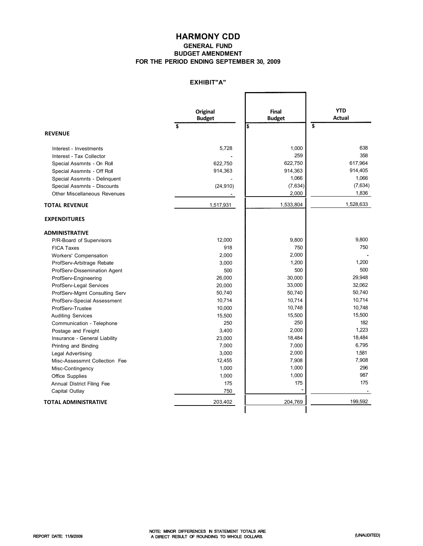## **HARMONY CDD GENERAL FUND BUDGET AMENDMENT FOR THE PERIOD ENDING SEPTEMBER 30, 2009**

## **EXHIBIT"A"**

F

٦

|                               | <b>Original</b> | Final         | <b>YTD</b>              |  |
|-------------------------------|-----------------|---------------|-------------------------|--|
|                               | <b>Budget</b>   | <b>Budget</b> | <b>Actual</b>           |  |
|                               | \$<br>\$        |               | $\overline{\mathbf{s}}$ |  |
| <b>REVENUE</b>                |                 |               |                         |  |
| Interest - Investments        | 5,728           | 1,000         | 638                     |  |
| Interest - Tax Collector      |                 | 259           | 358                     |  |
| Special Assmnts - On Roll     | 622,750         | 622,750       | 617.964                 |  |
| Special Assmnts - Off Roll    | 914,363         | 914,363       | 914,405                 |  |
| Special Assmnts - Delinquent  |                 | 1,066         | 1,066                   |  |
| Special Assmnts - Discounts   | (24, 910)       | (7,634)       | (7,634)                 |  |
| Other Miscellaneous Revenues  |                 | 2,000         | 1,836                   |  |
| <b>TOTAL REVENUE</b>          | 1,517,931       | 1,533,804     | 1,528,633               |  |
| <b>EXPENDITURES</b>           |                 |               |                         |  |
| <b>ADMINISTRATIVE</b>         |                 |               |                         |  |
| P/R-Board of Supervisors      | 12,000          | 9,800         | 9,800                   |  |
| <b>FICA Taxes</b>             | 918             | 750           | 750                     |  |
| Workers' Compensation         | 2,000           | 2,000         |                         |  |
| ProfServ-Arbitrage Rebate     | 3,000           | 1,200         | 1,200                   |  |
| ProfServ-Dissemination Agent  | 500             | 500           | 500                     |  |
| ProfServ-Engineering          | 26,000          | 30,000        | 29,948                  |  |
| ProfServ-Legal Services       | 20,000          | 33,000        | 32,062                  |  |
| ProfServ-Mgmt Consulting Serv | 50,740          | 50,740        | 50,740                  |  |
| ProfServ-Special Assessment   | 10,714          | 10,714        | 10,714                  |  |
| ProfServ-Trustee              | 10,000          | 10,748        | 10,748                  |  |
| <b>Auditing Services</b>      | 15,500          | 15,500        | 15,500                  |  |
| Communication - Telephone     | 250             | 250           | 182                     |  |
| Postage and Freight           | 3,400           | 2,000         | 1,223                   |  |
| Insurance - General Liability | 23,000          | 18,484        | 18,484                  |  |
| Printing and Binding          | 7,000           | 7,000         | 6,795                   |  |
| Legal Advertising             | 3,000           | 2,000         | 1,581                   |  |
| Misc-Assessmnt Collection Fee | 12,455          | 7,908         | 7,908                   |  |
| Misc-Contingency              | 1,000           | 1,000         | 296                     |  |
| <b>Office Supplies</b>        | 1,000           | 1,000         | 987                     |  |
| Annual District Filing Fee    | 175             | 175           | 175                     |  |
| Capital Outlay                | 750             |               |                         |  |
| <b>TOTAL ADMINISTRATIVE</b>   | 203,402         | 204,769       | 199,592                 |  |
|                               |                 |               |                         |  |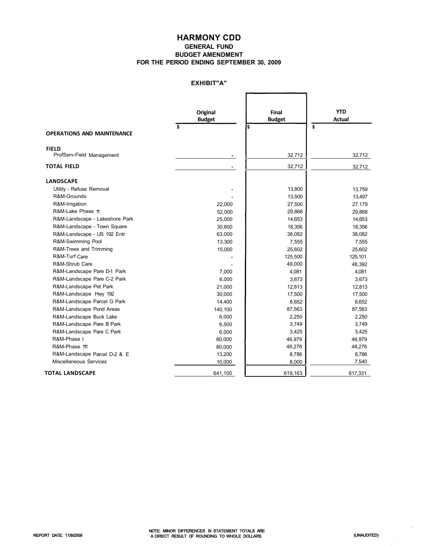# **HARMONY CDD**

#### **GENERAL FUND BUDGET AMENDMENT FOR THE PERIOD ENDING SEPTEMBER 30, 2009**

## **EXHIBIT"A"**

|                                   | <b>Original</b><br><b>Budget</b> | Final<br><b>Budget</b> | <b>YTD</b><br><b>Actual</b> |
|-----------------------------------|----------------------------------|------------------------|-----------------------------|
|                                   | \$                               | \$                     | \$                          |
| <b>OPERATIONS AND MAINTENANCE</b> |                                  |                        |                             |
| <b>FIELD</b>                      |                                  |                        |                             |
| ProfServ-Field Management         |                                  | 32,712                 | 32,712                      |
| <b>TOTAL FIELD</b>                |                                  | 32,712                 | 32,712                      |
| <b>LANDSCAPE</b>                  |                                  |                        |                             |
| Utility - Refuse Removal          |                                  | 13,800                 | 13,759                      |
| R&M-Grounds                       |                                  | 13,500                 | 13,497                      |
| R&M-Irrigation                    | 22,000                           | 27,500                 | 27,179                      |
| R&M-Lake Phase 11                 | 52,000                           | 29,868                 | 29,868                      |
| R&M-Landscape - Lakeshore Park    | 25,000                           | 14,653                 | 14,653                      |
| R&M-Landscape - Town Square       | 30,600                           | 18,356                 | 18,356                      |
| R&M-Landscape - US 192 Entr       | 63,000                           | 38,082                 | 38,082                      |
| R&M-Swimming Pool                 | 13,300                           | 7,555                  | 7,555                       |
| R&M-Trees and Trimming            | 15,000                           | 25,602                 | 25,602                      |
| R&M-Turf Care                     |                                  | 125,500                | 125,101                     |
| R&M-Shrub Care                    |                                  | 49,000                 | 48,392                      |
| R&M-Landscape Pare D-1 Park       | 7,000                            | 4,081                  | 4,081                       |
| R&M-Landscape Pare C-2 Park       | 6,000                            | 3,673                  | 3,673                       |
| R&M-Landscape Pet Park            | 21,000                           | 12,813                 | 12,813                      |
| R&M-Landscape Hwy 192             | 30,000                           | 17,500                 | 17,500                      |
| R&M-Landscape Parcel G Park       | 14,400                           | 8,652                  | 8,652                       |
| R&M-Landscape Pond Areas          | 140,100                          | 87,563                 | 87,563                      |
| R&M-Landscape Buck Lake           | 6,000                            | 2,250                  | 2,250                       |
| R&M-Landscape Pare B Park         | 6,500                            | 3,749                  | 3,749                       |
| R&M-Landscape Pare C Park         | 6,000                            | 3,425                  | 3,425                       |
| R&M-Phase I                       | 80,000                           | 46,979                 | 46,979                      |
| R&M-Phase 111                     | 80,000                           | 48,276                 | 48,276                      |
| R&M-Landscape Parcel D-2 & E      | 13,200                           | 8,786                  | 8,786                       |
| <b>Miscellaneous Services</b>     | 10,000                           | 8,000                  | 7,540                       |
| <b>TOTAL LANDSCAPE</b>            | 641,100                          | 619,163                | 617,331                     |

 $\mathcal{P}^{\mathcal{L}}$ 

 $\sim$